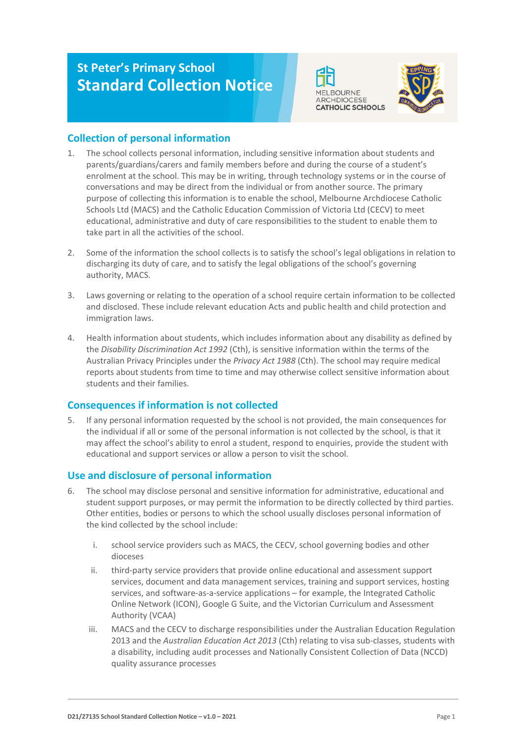# **St Peter's Primary School Standard Collection Notice**





# **Collection of personal information**

- 1. The school collects personal information, including sensitive information about students and parents/guardians/carers and family members before and during the course of a student's enrolment at the school. This may be in writing, through technology systems or in the course of conversations and may be direct from the individual or from another source. The primary purpose of collecting this information is to enable the school, Melbourne Archdiocese Catholic Schools Ltd (MACS) and the Catholic Education Commission of Victoria Ltd (CECV) to meet educational, administrative and duty of care responsibilities to the student to enable them to take part in all the activities of the school.
- 2. Some of the information the school collects is to satisfy the school's legal obligations in relation to discharging its duty of care, and to satisfy the legal obligations of the school's governing authority, MACS.
- 3. Laws governing or relating to the operation of a school require certain information to be collected and disclosed. These include relevant education Acts and public health and child protection and immigration laws.
- 4. Health information about students, which includes information about any disability as defined by the *Disability Discrimination Act 1992* (Cth), is sensitive information within the terms of the Australian Privacy Principles under the *Privacy Act 1988* (Cth). The school may require medical reports about students from time to time and may otherwise collect sensitive information about students and their families.

# **Consequences if information is not collected**

5. If any personal information requested by the school is not provided, the main consequences for the individual if all or some of the personal information is not collected by the school, is that it may affect the school's ability to enrol a student, respond to enquiries, provide the student with educational and support services or allow a person to visit the school.

# **Use and disclosure of personal information**

- 6. The school may disclose personal and sensitive information for administrative, educational and student support purposes, or may permit the information to be directly collected by third parties. Other entities, bodies or persons to which the school usually discloses personal information of the kind collected by the school include:
	- i. school service providers such as MACS, the CECV, school governing bodies and other dioceses
	- ii. third-party service providers that provide online educational and assessment support services, document and data management services, training and support services, hosting services, and software-as-a-service applications – for example, the Integrated Catholic Online Network (ICON), Google G Suite, and the Victorian Curriculum and Assessment Authority (VCAA)
	- iii. MACS and the CECV to discharge responsibilities under the Australian Education Regulation 2013 and the *Australian Education Act 2013* (Cth) relating to visa sub-classes, students with a disability, including audit processes and Nationally Consistent Collection of Data (NCCD) quality assurance processes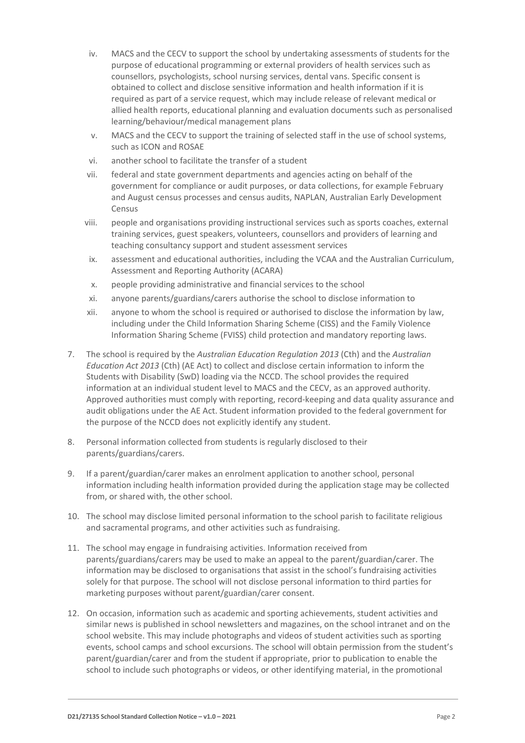- iv. MACS and the CECV to support the school by undertaking assessments of students for the purpose of educational programming or external providers of health services such as counsellors, psychologists, school nursing services, dental vans. Specific consent is obtained to collect and disclose sensitive information and health information if it is required as part of a service request, which may include release of relevant medical or allied health reports, educational planning and evaluation documents such as personalised learning/behaviour/medical management plans
- v. MACS and the CECV to support the training of selected staff in the use of school systems, such as ICON and ROSAE
- vi. another school to facilitate the transfer of a student
- vii. federal and state government departments and agencies acting on behalf of the government for compliance or audit purposes, or data collections, for example February and August census processes and census audits, NAPLAN, Australian Early Development Census
- viii. people and organisations providing instructional services such as sports coaches, external training services, guest speakers, volunteers, counsellors and providers of learning and teaching consultancy support and student assessment services
- ix. assessment and educational authorities, including the VCAA and the Australian Curriculum, Assessment and Reporting Authority (ACARA)
- x. people providing administrative and financial services to the school
- xi. anyone parents/guardians/carers authorise the school to disclose information to
- xii. anyone to whom the school is required or authorised to disclose the information by law, including under the Child Information Sharing Scheme (CISS) and the Family Violence Information Sharing Scheme (FVISS) child protection and mandatory reporting laws.
- 7. The school is required by the *Australian Education Regulation 2013* (Cth) and the *Australian Education Act 2013* (Cth) (AE Act) to collect and disclose certain information to inform the Students with Disability (SwD) loading via the NCCD. The school provides the required information at an individual student level to MACS and the CECV, as an approved authority. Approved authorities must comply with reporting, record-keeping and data quality assurance and audit obligations under the AE Act. Student information provided to the federal government for the purpose of the NCCD does not explicitly identify any student.
- 8. Personal information collected from students is regularly disclosed to their parents/guardians/carers.
- 9. If a parent/guardian/carer makes an enrolment application to another school, personal information including health information provided during the application stage may be collected from, or shared with, the other school.
- 10. The school may disclose limited personal information to the school parish to facilitate religious and sacramental programs, and other activities such as fundraising.
- 11. The school may engage in fundraising activities. Information received from parents/guardians/carers may be used to make an appeal to the parent/guardian/carer. The information may be disclosed to organisations that assist in the school's fundraising activities solely for that purpose. The school will not disclose personal information to third parties for marketing purposes without parent/guardian/carer consent.
- 12. On occasion, information such as academic and sporting achievements, student activities and similar news is published in school newsletters and magazines, on the school intranet and on the school website. This may include photographs and videos of student activities such as sporting events, school camps and school excursions. The school will obtain permission from the student's parent/guardian/carer and from the student if appropriate, prior to publication to enable the school to include such photographs or videos, or other identifying material, in the promotional